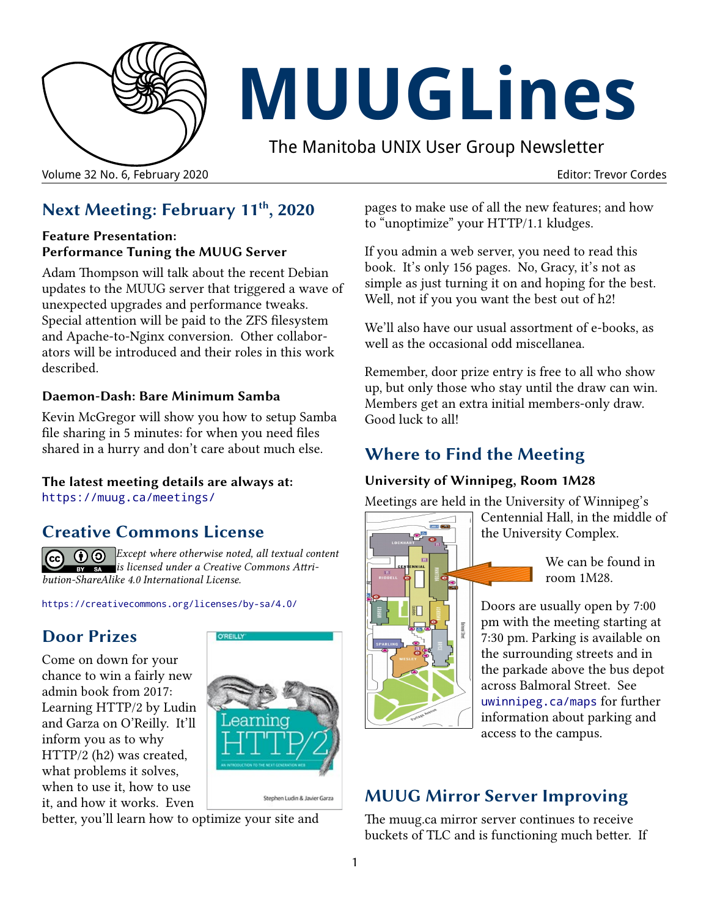

# **MUUGLines**

The Manitoba UNIX User Group Newsletter

Volume 32 No. 6, February 2020 Editor: Trevor Cordes

# **Next Meeting: February 11th, 2020**

#### **Feature Presentation: Performance Tuning the MUUG Server**

Adam Thompson will talk about the recent Debian updates to the MUUG server that triggered a wave of unexpected upgrades and performance tweaks. Special attention will be paid to the ZFS filesystem and Apache-to-Nginx conversion. Other collaborators will be introduced and their roles in this work described.

#### **Daemon-Dash: Bare Minimum Samba**

Kevin McGregor will show you how to setup Samba file sharing in 5 minutes: for when you need files shared in a hurry and don't care about much else.

# **The latest meeting details are always at:**

[https://muug.ca/meetings/](https://www.muug.mb.ca/meetings/)

## **Creative Commons License**

*Except where otherwise noted, all textual content*   $\left( \overline{c}\right)$ *is licensed under a Creative Commons Attribution-ShareAlike 4.0 International License.*

<https://creativecommons.org/licenses/by-sa/4.0/>

# **Door Prizes**

Come on down for your chance to win a fairly new admin book from 2017: Learning HTTP/2 by Ludin and Garza on O'Reilly. It'll inform you as to why HTTP/2 (h2) was created, what problems it solves, when to use it, how to use it, and how it works. Even



better, you'll learn how to optimize your site and

pages to make use of all the new features; and how to "unoptimize" your HTTP/1.1 kludges.

If you admin a web server, you need to read this book. It's only 156 pages. No, Gracy, it's not as simple as just turning it on and hoping for the best. Well, not if you you want the best out of h2!

We'll also have our usual assortment of e-books, as well as the occasional odd miscellanea.

Remember, door prize entry is free to all who show up, but only those who stay until the draw can win. Members get an extra initial members-only draw. Good luck to all!

# **Where to Find the Meeting**

#### **University of Winnipeg, Room 1M28**

Meetings are held in the University of Winnipeg's



Centennial Hall, in the middle of the University Complex.

> We can be found in room 1M28.

Doors are usually open by 7:00 pm with the meeting starting at 7:30 pm. Parking is available on the surrounding streets and in the parkade above the bus depot across Balmoral Street. See [uwinnipeg.ca/maps](http://www.uwinnipeg.ca/maps) for further information about parking and access to the campus.

# **MUUG Mirror Server Improving**

The muug.ca mirror server continues to receive buckets of TLC and is functioning much better. If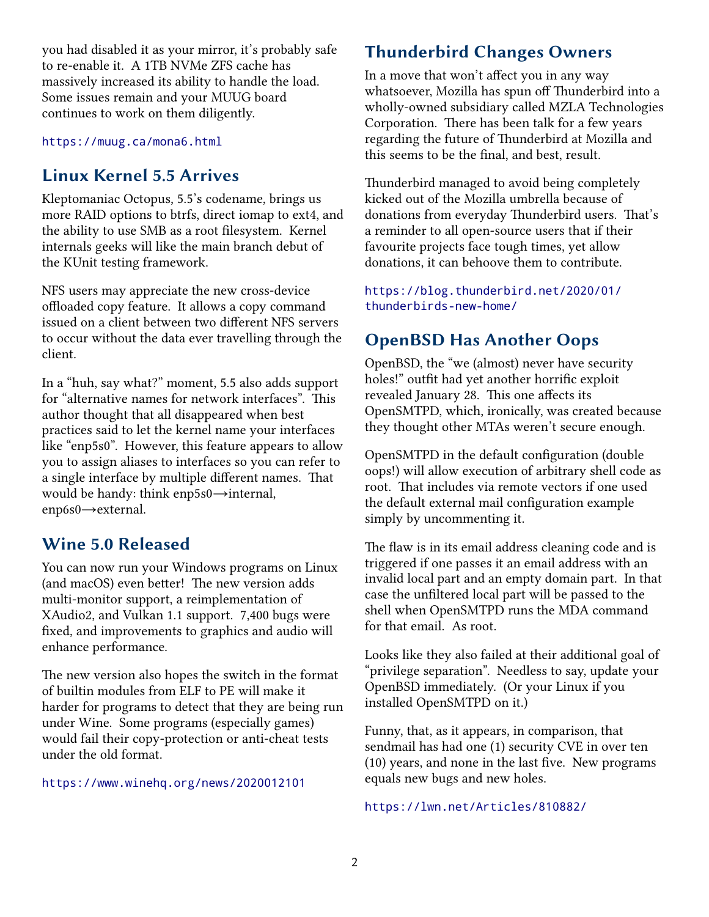you had disabled it as your mirror, it's probably safe to re-enable it. A 1TB NVMe ZFS cache has massively increased its ability to handle the load. Some issues remain and your MUUG board continues to work on them diligently.

<https://muug.ca/mona6.html>

## **Linux Kernel 5.5 Arrives**

Kleptomaniac Octopus, 5.5's codename, brings us more RAID options to btrfs, direct iomap to ext4, and the ability to use SMB as a root filesystem. Kernel internals geeks will like the main branch debut of the KUnit testing framework.

NFS users may appreciate the new cross-device offloaded copy feature. It allows a copy command issued on a client between two different NFS servers to occur without the data ever travelling through the client.

In a "huh, say what?" moment, 5.5 also adds support for "alternative names for network interfaces". This author thought that all disappeared when best practices said to let the kernel name your interfaces like "enp5s0". However, this feature appears to allow you to assign aliases to interfaces so you can refer to a single interface by multiple different names. That would be handy: think enp5s0→internal, enp6s0→external.

### **Wine 5.0 Released**

You can now run your Windows programs on Linux (and macOS) even better! The new version adds multi-monitor support, a reimplementation of XAudio2, and Vulkan 1.1 support. 7,400 bugs were fixed, and improvements to graphics and audio will enhance performance.

The new version also hopes the switch in the format of builtin modules from ELF to PE will make it harder for programs to detect that they are being run under Wine. Some programs (especially games) would fail their copy-protection or anti-cheat tests under the old format.

<https://www.winehq.org/news/2020012101>

# **Thunderbird Changes Owners**

In a move that won't affect you in any way whatsoever, Mozilla has spun off Thunderbird into a wholly-owned subsidiary called MZLA Technologies Corporation. There has been talk for a few years regarding the future of Thunderbird at Mozilla and this seems to be the final, and best, result.

Thunderbird managed to avoid being completely kicked out of the Mozilla umbrella because of donations from everyday Thunderbird users. That's a reminder to all open-source users that if their favourite projects face tough times, yet allow donations, it can behoove them to contribute.

[https://blog.thunderbird.net/2020/01/](https://blog.thunderbird.net/2020/01/thunderbirds-new-home/) [thunderbirds-new-home/](https://blog.thunderbird.net/2020/01/thunderbirds-new-home/)

# **OpenBSD Has Another Oops**

OpenBSD, the "we (almost) never have security holes!" outfit had yet another horrific exploit revealed January 28. This one affects its OpenSMTPD, which, ironically, was created because they thought other MTAs weren't secure enough.

OpenSMTPD in the default configuration (double oops!) will allow execution of arbitrary shell code as root. That includes via remote vectors if one used the default external mail configuration example simply by uncommenting it.

The flaw is in its email address cleaning code and is triggered if one passes it an email address with an invalid local part and an empty domain part. In that case the unfiltered local part will be passed to the shell when OpenSMTPD runs the MDA command for that email. As root.

Looks like they also failed at their additional goal of "privilege separation". Needless to say, update your OpenBSD immediately. (Or your Linux if you installed OpenSMTPD on it.)

Funny, that, as it appears, in comparison, that sendmail has had one (1) security CVE in over ten (10) years, and none in the last five. New programs equals new bugs and new holes.

#### <https://lwn.net/Articles/810882/>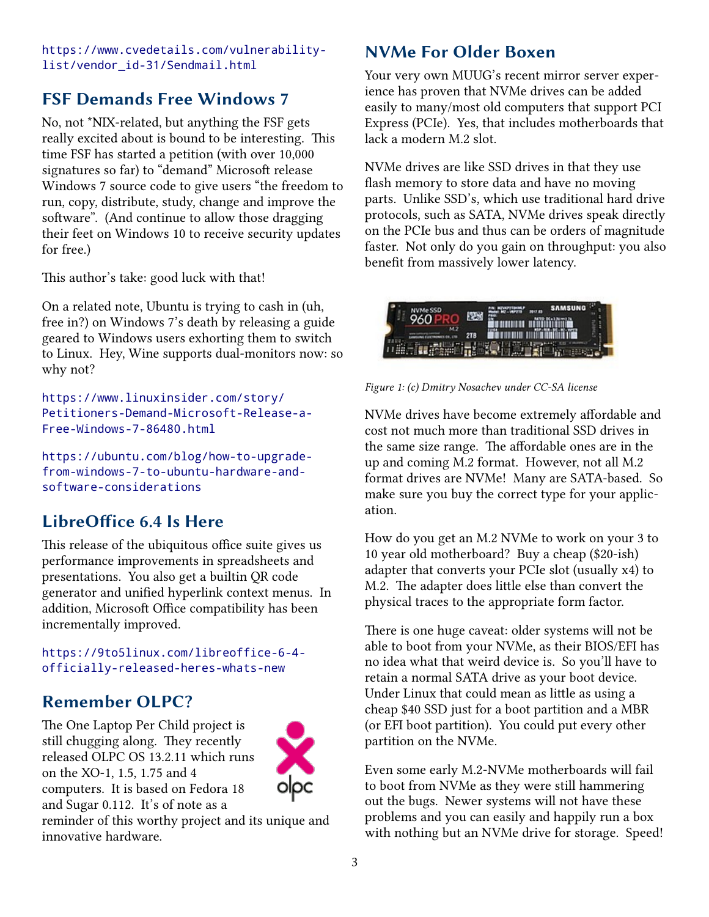[https://www.cvedetails.com/vulnerability](https://www.cvedetails.com/vulnerability-list/vendor_id-31/Sendmail.html)[list/vendor\\_id-31/Sendmail.html](https://www.cvedetails.com/vulnerability-list/vendor_id-31/Sendmail.html)

# **FSF Demands Free Windows 7**

No, not \*NIX-related, but anything the FSF gets really excited about is bound to be interesting. This time FSF has started a petition (with over 10,000 signatures so far) to "demand" Microsoft release Windows 7 source code to give users "the freedom to run, copy, distribute, study, change and improve the software". (And continue to allow those dragging their feet on Windows 10 to receive security updates for free.)

This author's take: good luck with that!

On a related note, Ubuntu is trying to cash in (uh, free in?) on Windows 7's death by releasing a guide geared to Windows users exhorting them to switch to Linux. Hey, Wine supports dual-monitors now: so why not?

[https://www.linuxinsider.com/story/](https://www.linuxinsider.com/story/Petitioners-Demand-Microsoft-Release-a-Free-Windows-7-86480.html) [Petitioners-Demand-Microsoft-Release-a-](https://www.linuxinsider.com/story/Petitioners-Demand-Microsoft-Release-a-Free-Windows-7-86480.html)[Free-Windows-7-86480.html](https://www.linuxinsider.com/story/Petitioners-Demand-Microsoft-Release-a-Free-Windows-7-86480.html)

[https://ubuntu.com/blog/how-to-upgrade](https://ubuntu.com/blog/how-to-upgrade-from-windows-7-to-ubuntu-hardware-and-software-considerations)[from-windows-7-to-ubuntu-hardware-and](https://ubuntu.com/blog/how-to-upgrade-from-windows-7-to-ubuntu-hardware-and-software-considerations)[software-considerations](https://ubuntu.com/blog/how-to-upgrade-from-windows-7-to-ubuntu-hardware-and-software-considerations)

# **LibreOffice 6.4 Is Here**

This release of the ubiquitous office suite gives us performance improvements in spreadsheets and presentations. You also get a builtin QR code generator and unified hyperlink context menus. In addition, Microsoft Office compatibility has been incrementally improved.

[https://9to5linux.com/libreoffice-6-4](https://9to5linux.com/libreoffice-6-4-officially-released-heres-whats-new) [officially-released-heres-whats-new](https://9to5linux.com/libreoffice-6-4-officially-released-heres-whats-new)

# **Remember OLPC?**

The One Laptop Per Child project is still chugging along. They recently released OLPC OS 13.2.11 which runs on the XO-1, 1.5, 1.75 and 4 computers. It is based on Fedora 18 and Sugar 0.112. It's of note as a



reminder of this worthy project and its unique and innovative hardware.

# **NVMe For Older Boxen**

Your very own MUUG's recent mirror server experience has proven that NVMe drives can be added easily to many/most old computers that support PCI Express (PCIe). Yes, that includes motherboards that lack a modern M.2 slot.

NVMe drives are like SSD drives in that they use flash memory to store data and have no moving parts. Unlike SSD's, which use traditional hard drive protocols, such as SATA, NVMe drives speak directly on the PCIe bus and thus can be orders of magnitude faster. Not only do you gain on throughput: you also benefit from massively lower latency.



*Figure 1: (c) Dmitry Nosachev under CC-SA license*

NVMe drives have become extremely affordable and cost not much more than traditional SSD drives in the same size range. The affordable ones are in the up and coming M.2 format. However, not all M.2 format drives are NVMe! Many are SATA-based. So make sure you buy the correct type for your application.

How do you get an M.2 NVMe to work on your 3 to 10 year old motherboard? Buy a cheap (\$20-ish) adapter that converts your PCIe slot (usually x4) to M.2. The adapter does little else than convert the physical traces to the appropriate form factor.

There is one huge caveat: older systems will not be able to boot from your NVMe, as their BIOS/EFI has no idea what that weird device is. So you'll have to retain a normal SATA drive as your boot device. Under Linux that could mean as little as using a cheap \$40 SSD just for a boot partition and a MBR (or EFI boot partition). You could put every other partition on the NVMe.

Even some early M.2-NVMe motherboards will fail to boot from NVMe as they were still hammering out the bugs. Newer systems will not have these problems and you can easily and happily run a box with nothing but an NVMe drive for storage. Speed!